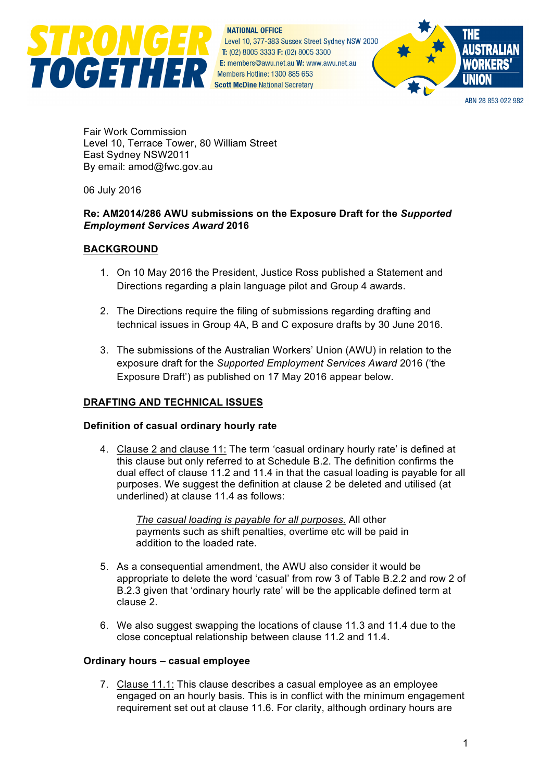

**NATIONAL OFFICE** Level 10, 377-383 Sussex Street Sydney NSW 2000 T: (02) 8005 3333 F: (02) 8005 3300 E: members@awu.net.au W: www.awu.net.au Members Hotline: 1300 885 653



ARN 28 853 022 982

Fair Work Commission Level 10, Terrace Tower, 80 William Street East Sydney NSW2011 By email: amod@fwc.gov.au

06 July 2016

## **Re: AM2014/286 AWU submissions on the Exposure Draft for the** *Supported Employment Services Award* **2016**

### **BACKGROUND**

- 1. On 10 May 2016 the President, Justice Ross published a Statement and Directions regarding a plain language pilot and Group 4 awards.
- 2. The Directions require the filing of submissions regarding drafting and technical issues in Group 4A, B and C exposure drafts by 30 June 2016.
- 3. The submissions of the Australian Workers' Union (AWU) in relation to the exposure draft for the *Supported Employment Services Award* 2016 ('the Exposure Draft') as published on 17 May 2016 appear below.

# **DRAFTING AND TECHNICAL ISSUES**

### **Definition of casual ordinary hourly rate**

4. Clause 2 and clause 11: The term 'casual ordinary hourly rate' is defined at this clause but only referred to at Schedule B.2. The definition confirms the dual effect of clause 11.2 and 11.4 in that the casual loading is payable for all purposes. We suggest the definition at clause 2 be deleted and utilised (at underlined) at clause 11.4 as follows:

*The casual loading is payable for all purposes.* All other payments such as shift penalties, overtime etc will be paid in addition to the loaded rate.

- 5. As a consequential amendment, the AWU also consider it would be appropriate to delete the word 'casual' from row 3 of Table B.2.2 and row 2 of B.2.3 given that 'ordinary hourly rate' will be the applicable defined term at clause 2.
- 6. We also suggest swapping the locations of clause 11.3 and 11.4 due to the close conceptual relationship between clause 11.2 and 11.4.

### **Ordinary hours – casual employee**

7. Clause 11.1: This clause describes a casual employee as an employee engaged on an hourly basis. This is in conflict with the minimum engagement requirement set out at clause 11.6. For clarity, although ordinary hours are